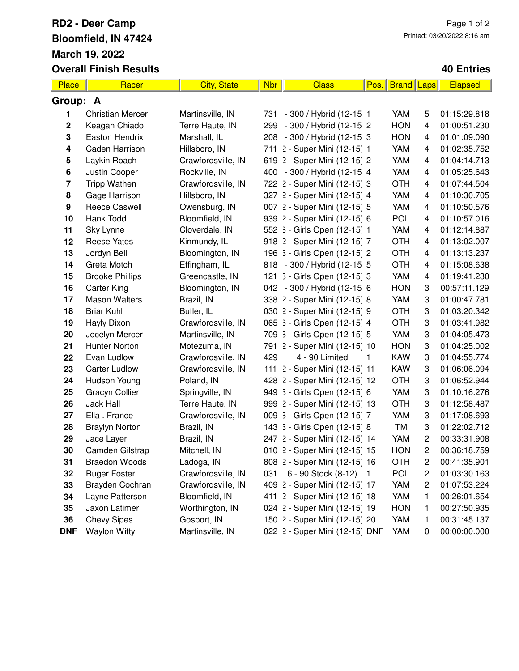## **RD2 - Deer Camp Bloomfield, IN 47424 March 19, 2022 Overall Finish Results**

## **40 Entries**

| Place                   | Racer                   | <b>City, State</b> | Nbr | <b>Class</b>                  | Pos.           | <b>Brand</b> | <b>Laps</b> | Elapsed      |  |  |
|-------------------------|-------------------------|--------------------|-----|-------------------------------|----------------|--------------|-------------|--------------|--|--|
| Group: A                |                         |                    |     |                               |                |              |             |              |  |  |
| 1                       | <b>Christian Mercer</b> | Martinsville, IN   | 731 | - 300 / Hybrid (12-15 1       |                | YAM          | 5           | 01:15:29.818 |  |  |
| $\boldsymbol{2}$        | Keagan Chiado           | Terre Haute, IN    | 299 | - 300 / Hybrid (12-15 2       |                | <b>HON</b>   | 4           | 01:00:51.230 |  |  |
| 3                       | Easton Hendrix          | Marshall, IL       | 208 | - 300 / Hybrid (12-15 3       |                | <b>HON</b>   | 4           | 01:01:09.090 |  |  |
| 4                       | Caden Harrison          | Hillsboro, IN      |     | 711 2 - Super Mini (12-15) 1  |                | YAM          | 4           | 01:02:35.752 |  |  |
| 5                       | Laykin Roach            | Crawfordsville, IN |     | 619 2 - Super Mini (12-15 2   |                | YAM          | 4           | 01:04:14.713 |  |  |
| 6                       | Justin Cooper           | Rockville, IN      |     | 400 - 300 / Hybrid (12-15 4   |                | YAM          | 4           | 01:05:25.643 |  |  |
| $\overline{\mathbf{7}}$ | <b>Tripp Wathen</b>     | Crawfordsville, IN |     | 722 2 - Super Mini (12-15 3   |                | <b>OTH</b>   | 4           | 01:07:44.504 |  |  |
| 8                       | Gage Harrison           | Hillsboro, IN      |     | 327 2 - Super Mini (12-15 4   |                | YAM          | 4           | 01:10:30.705 |  |  |
| $\boldsymbol{9}$        | <b>Reece Caswell</b>    | Owensburg, IN      |     | 007 2 - Super Mini (12-15 5   |                | YAM          | 4           | 01:10:50.576 |  |  |
| 10                      | Hank Todd               | Bloomfield, IN     |     | 939 2 - Super Mini (12-15 6   |                | <b>POL</b>   | 4           | 01:10:57.016 |  |  |
| 11                      | Sky Lynne               | Cloverdale, IN     |     | 552 3 - Girls Open (12-15 1   |                | YAM          | 4           | 01:12:14.887 |  |  |
| 12                      | <b>Reese Yates</b>      | Kinmundy, IL       |     | 918 2 - Super Mini (12-15) 7  |                | <b>OTH</b>   | 4           | 01:13:02.007 |  |  |
| 13                      | Jordyn Bell             | Bloomington, IN    |     | 196 3 - Girls Open (12-15 2   |                | <b>OTH</b>   | 4           | 01:13:13.237 |  |  |
| 14                      | Greta Motch             | Effingham, IL      |     | 818 - 300 / Hybrid (12-15 5   |                | <b>OTH</b>   | 4           | 01:15:08.638 |  |  |
| 15                      | <b>Brooke Phillips</b>  | Greencastle, IN    |     | 121 3 - Girls Open (12-15 3   |                | YAM          | 4           | 01:19:41.230 |  |  |
| 16                      | <b>Carter King</b>      | Bloomington, IN    |     | 042 - 300 / Hybrid (12-15 6   |                | <b>HON</b>   | 3           | 00:57:11.129 |  |  |
| 17                      | <b>Mason Walters</b>    | Brazil, IN         |     | 338 2 - Super Mini (12-15 8   |                | YAM          | 3           | 01:00:47.781 |  |  |
| 18                      | <b>Briar Kuhl</b>       | Butler, IL         |     | 030 2 - Super Mini (12-15 9   |                | <b>OTH</b>   | 3           | 01:03:20.342 |  |  |
| 19                      | Hayly Dixon             | Crawfordsville, IN |     | 065 3 - Girls Open (12-15 4   |                | <b>OTH</b>   | 3           | 01:03:41.982 |  |  |
| 20                      | Jocelyn Mercer          | Martinsville, IN   |     | 709 3 - Girls Open (12-15 5   |                | YAM          | 3           | 01:04:05.473 |  |  |
| 21                      | Hunter Norton           | Motezuma, IN       |     | 791 2 - Super Mini (12-15 10  |                | <b>HON</b>   | 3           | 01:04:25.002 |  |  |
| 22                      | Evan Ludlow             | Crawfordsville, IN | 429 | 4 - 90 Limited                | 1              | <b>KAW</b>   | 3           | 01:04:55.774 |  |  |
| 23                      | <b>Carter Ludlow</b>    | Crawfordsville, IN |     | 111 2 - Super Mini (12-15) 11 |                | <b>KAW</b>   | 3           | 01:06:06.094 |  |  |
| 24                      | Hudson Young            | Poland, IN         |     | 428 2 - Super Mini (12-15 12  |                | <b>OTH</b>   | 3           | 01:06:52.944 |  |  |
| 25                      | Gracyn Collier          | Springville, IN    |     | 949 3 - Girls Open (12-15 6   |                | YAM          | 3           | 01:10:16.276 |  |  |
| 26                      | <b>Jack Hall</b>        | Terre Haute, IN    |     | 999 2 - Super Mini (12-15 13  |                | <b>OTH</b>   | 3           | 01:12:58.487 |  |  |
| 27                      | Ella . France           | Crawfordsville, IN |     | 009 3 - Girls Open (12-15 7   |                | YAM          | 3           | 01:17:08.693 |  |  |
| 28                      | <b>Braylyn Norton</b>   | Brazil, IN         |     | 143 3 - Girls Open (12-15 8   |                | TM           | 3           | 01:22:02.712 |  |  |
| 29                      | Jace Layer              | Brazil, IN         |     | 247 2 - Super Mini (12-15 14  |                | YAM          | $\mathbf 2$ | 00:33:31.908 |  |  |
| 30                      | Camden Gilstrap         | Mitchell, IN       |     | 010 2 - Super Mini (12-15 15  |                | <b>HON</b>   | 2           | 00:36:18.759 |  |  |
| 31                      | <b>Braedon Woods</b>    | Ladoga, IN         |     | 808 2 - Super Mini (12-15 16  |                | <b>OTH</b>   | 2           | 00:41:35.901 |  |  |
| 32                      | <b>Ruger Foster</b>     | Crawfordsville, IN | 031 | 6 - 90 Stock (8-12)           | $\blacksquare$ | POL          | 2           | 01:03:30.163 |  |  |
| 33                      | Brayden Cochran         | Crawfordsville, IN |     | 409 2 - Super Mini (12-15 17  |                | YAM          | $\mathbf 2$ | 01:07:53.224 |  |  |
| 34                      | Layne Patterson         | Bloomfield, IN     |     | 411 2 - Super Mini (12-15 18  |                | YAM          | 1           | 00:26:01.654 |  |  |
| 35                      | Jaxon Latimer           | Worthington, IN    |     | 024 2 - Super Mini (12-15 19  |                | <b>HON</b>   | 1           | 00:27:50.935 |  |  |
| 36                      | <b>Chevy Sipes</b>      | Gosport, IN        |     | 150 2 - Super Mini (12-15 20  |                | YAM          | 1           | 00:31:45.137 |  |  |
| <b>DNF</b>              | <b>Waylon Witty</b>     | Martinsville, IN   |     | 022 2 - Super Mini (12-15 DNF |                | YAM          | 0           | 00:00:00.000 |  |  |